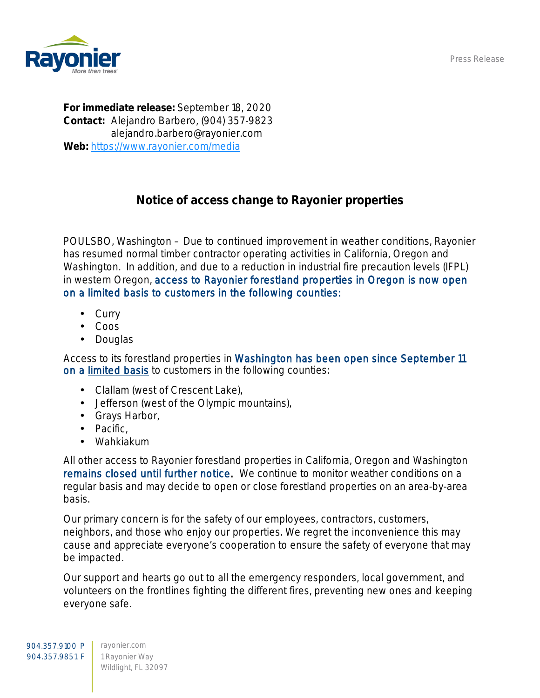Press Release



For immediate release: September 18, 2020 Contact: Alejandro Barbero, (904) 357-9823 alejandro.barbero@rayonier.com Web: <https://www.rayonier.com/media>

## Notice of access change to Rayonier properties

POULSBO, Washington – Due to continued improvement in weather conditions, Rayonier has resumed normal timber contractor operating activities in California, Oregon and Washington. In addition, and due to a reduction in industrial fire precaution levels (IFPL) in western Oregon, access to Rayonier forestland properties in Oregon is now open on a limited basis to customers in the following counties:

- **Curry**
- Coos
- **Douglas**

Access to its forestland properties in Washington has been open since September 11 on a limited basis to customers in the following counties:

- Clallam (west of Crescent Lake),
- Jefferson (west of the Olympic mountains),
- Grays Harbor,
- . Pacific,
- Wahkiakum

All other access to Rayonier forestland properties in California, Oregon and Washington remains closed until further notice. We continue to monitor weather conditions on a regular basis and may decide to open or close forestland properties on an area-by-area basis.

Our primary concern is for the safety of our employees, contractors, customers, neighbors, and those who enjoy our properties. We regret the inconvenience this may cause and appreciate everyone's cooperation to ensure the safety of everyone that may be impacted.

Our support and hearts go out to all the emergency responders, local government, and volunteers on the frontlines fighting the different fires, preventing new ones and keeping everyone safe.